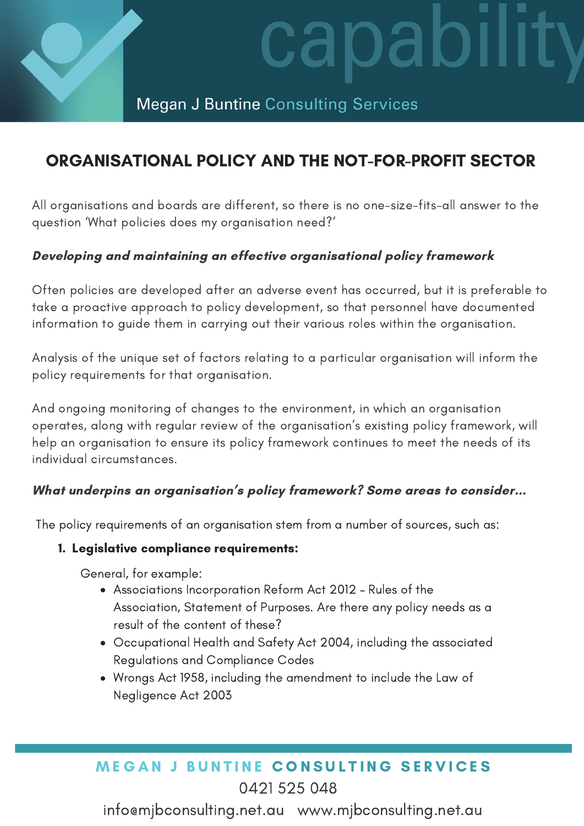

# dl

# **Megan J Buntine Consulting Services**

# ORGANISATIONAL POLICY AND THE NOT-FOR-PROFIT SECTOR

All organisations and boards are different, so there is no one-size-fits-all answer to the question 'What policies does my organisation need?'

## Developing and maintaining an effective organisational policy framework

Often policies are developed after an adverse event has occurred, but it is preferable to take a proactive approach to policy development, so that personnel have documented information to guide them in carrying out their various roles within the organisation.

Analysis of the unique set of factors relating to a particular organisation will inform the policy requirements for that organisation.

And ongoing monitoring of changes to the environment, in which an organisation operates, along with regular review of the organisation's existing policy framework, will help an organisation to ensure its policy framework continues to meet the needs of its individual circumstances.

## What underpins an organisation's policy framework? Some areas to consider...

The policy requirements of an organisation stem from a number of sources, such as:

## 1. Legislative compliance requirements:

General, for example:

- Associations Incorporation Reform Act 2012 Rules of the Association, Statement of Purposes. Are there any policy needs as a result of the content of these?
- Occupational Health and Safety Act 2004, including the associated Regulations and Compliance Codes
- Wrongs Act 1958, including the amendment to include the Law of Negligence Act 2003

# **MEGAN J BUNTINE CONSULTING SERVICES** 0421 525 048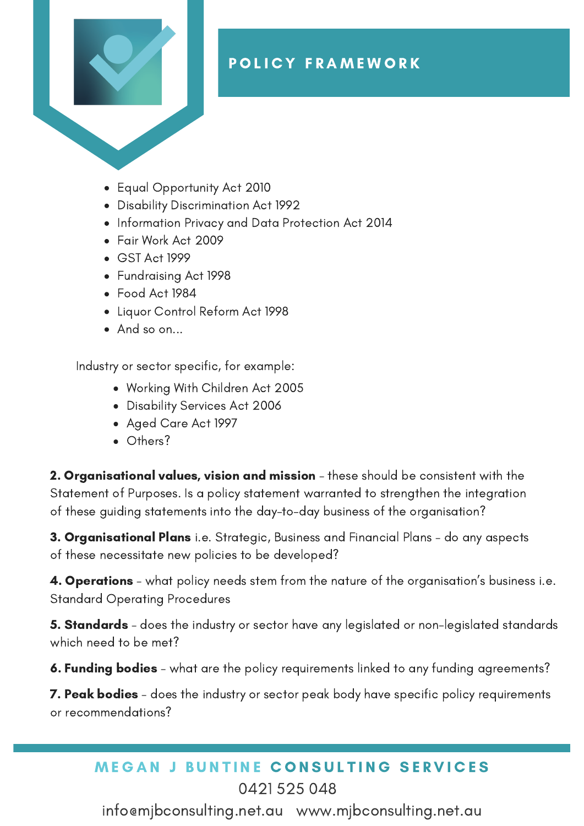

- Equal Opportunity Act 2010
- Disability Discrimination Act 1992
- Information Privacy and Data Protection Act 2014
- Fair Work Act 2009
- GST Act 1999
- Fundraising Act 1998
- Food Act 1984
- Liquor Control Reform Act 1998
- And so on...

Industry or sector specific, for example:

- Working With Children Act 2005
- Disability Services Act 2006
- Aged Care Act 1997
- Others?

**2. Organisational values, vision and mission** - these should be consistent with the Statement of Purposes. Is a policy statement warranted to strengthen the integration of these guiding statements into the day-to-day business of the organisation?

**3. Organisational Plans** i.e. Strategic, Business and Financial Plans - do any aspects of these necessitate new policies to be developed?

4. Operations - what policy needs stem from the nature of the organisation's business i.e. Standard Operating Procedures

**5. Standards** – does the industry or sector have any legislated or non-legislated standards which need to be met?

**6. Funding bodies** – what are the policy requirements linked to any funding agreements?

7. Peak bodies - does the industry or sector peak body have specific policy requirements or recommendations?

## **MEGAN J BUNTINE CONSULTING SERVICES** 0421 525 048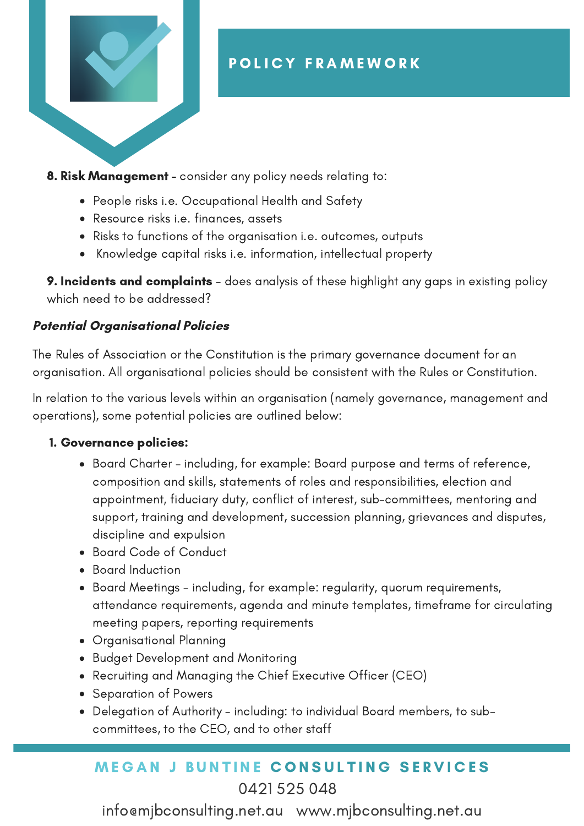

**8. Risk Management** - consider any policy needs relating to:

- People risks i.e. Occupational Health and Safety
- Resource risks i.e. finances, assets
- Risks to functions of the organisation i.e. outcomes, outputs
- Knowledge capital risks i.e. information, intellectual property

**9. Incidents and complaints** – does analysis of these highlight any gaps in existing policy which need to be addressed?

## Potential Organisational Policies

The Rules of Association or the Constitution is the primary governance document for an organisation. All organisational policies should be consistent with the Rules or Constitution.

In relation to the various levels within an organisation (namely governance, management and operations), some potential policies are outlined below:

## 1. Governance policies:

- Board Charter including, for example: Board purpose and terms of reference, composition and skills, statements of roles and responsibilities, election and appointment, fiduciary duty, conflict of interest, sub-committees, mentoring and support, training and development, succession planning, grievances and disputes, discipline and expulsion
- Board Code of Conduct
- Board Induction
- Board Meetings including, for example: regularity, quorum requirements, attendance requirements, agenda and minute templates, timeframe for circulating meeting papers, reporting requirements
- Organisational Planning
- Budget Development and Monitoring
- Recruiting and Managing the Chief Executive Officer (CEO)
- Separation of Powers
- Delegation of Authority including: to individual Board members, to subcommittees, to the CEO, and to other staff

## **MEGAN J BUNTINE CONSULTING SERVICES** 0421 525 048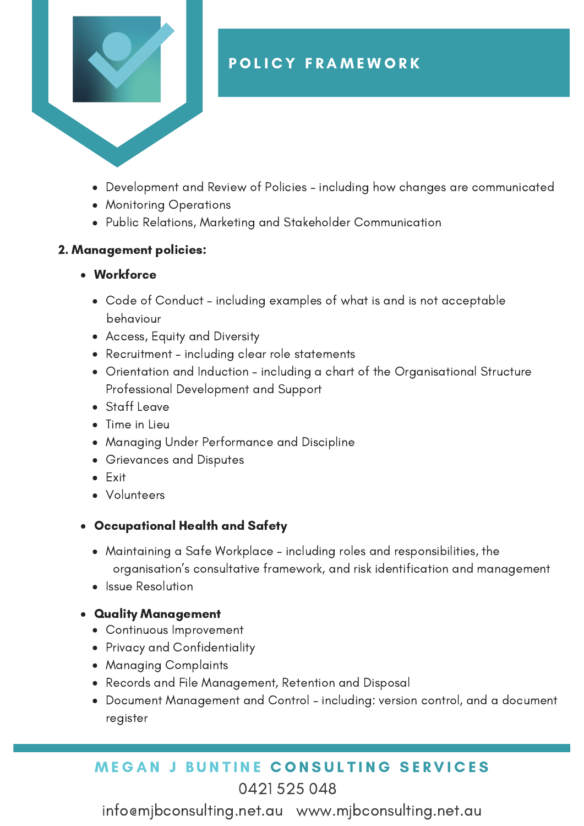

- Development and Review of Policies including how changes are communicated
- Monitoring Operations
- Public Relations, Marketing and Stakeholder Communication

#### 2. Management policies:

- Workforce
	- Code of Conduct including examples of what is and is not acceptable behaviour
	- Access, Equity and Diversity
	- Recruitment including clear role statements
	- Orientation and Induction including a chart of the Organisational Structure Professional Development and Support
	- Staff Leave
	- Time in Lieu
	- Managing Under Performance and Discipline
	- Grievances and Disputes
	- Exit
	- Volunteers
- Occupational Health and Safety
	- Maintaining a Safe Workplace including roles and responsibilities, the organisation's consultative framework, and risk identification and management
	- Issue Resolution

## Quality Management

- Continuous Improvement
- Privacy and Confidentiality
- Managing Complaints
- Records and File Management, Retention and Disposal
- Document Management and Control including: version control, and a document register

## **MEGAN J BUNTINE CONSULTING SERVICES** 0421 525 048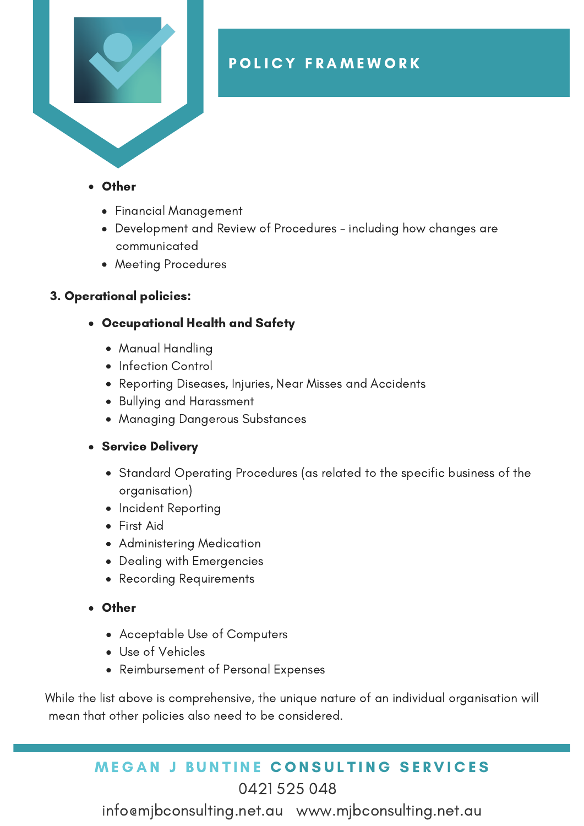

- Other
	- Financial Management
	- Development and Review of Procedures including how changes are communicated
	- Meeting Procedures

## 3. Operational policies:

- Occupational Health and Safety
	- Manual Handling
	- Infection Control
	- Reporting Diseases, Injuries, Near Misses and Accidents
	- Bullying and Harassment
	- Managing Dangerous Substances

## **• Service Delivery**

- Standard Operating Procedures (as related to the specific business of the organisation)
- Incident Reporting
- First Aid
- Administering Medication
- Dealing with Emergencies
- Recording Requirements
- **Other** 
	- Acceptable Use of Computers
	- Use of Vehicles
	- Reimbursement of Personal Expenses

While the list above is comprehensive, the unique nature of an individual organisation will mean that other policies also need to be considered.

## **MEGAN J BUNTINE CONSULTING SERVICES** 0421 525 048